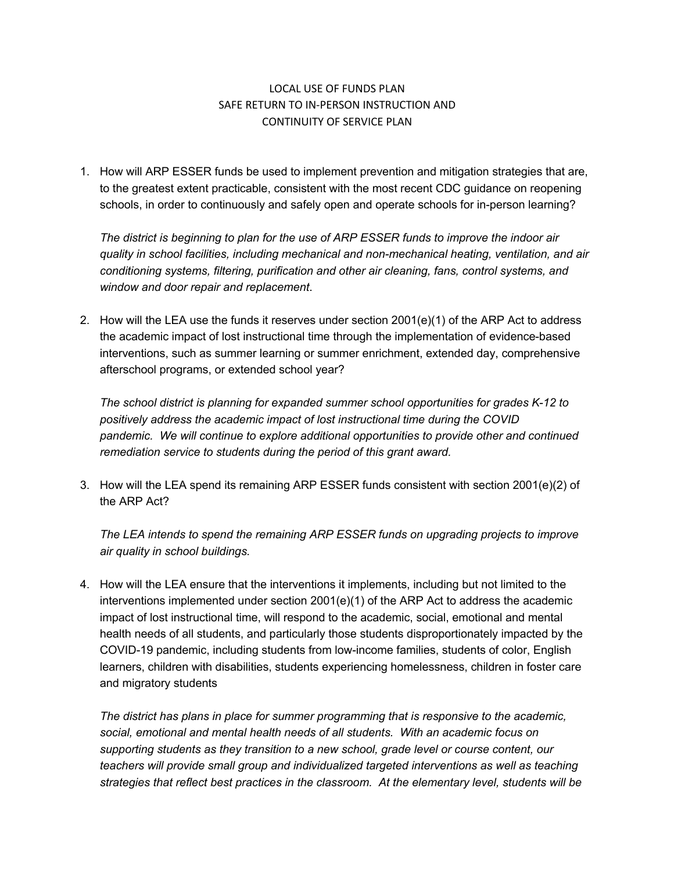## LOCAL USE OF FUNDS PLAN SAFE RETURN TO IN-PERSON INSTRUCTION AND CONTINUITY OF SERVICE PLAN

1. How will ARP ESSER funds be used to implement prevention and mitigation strategies that are, to the greatest extent practicable, consistent with the most recent CDC guidance on reopening schools, in order to continuously and safely open and operate schools for in-person learning?

*The district is beginning to plan for the use of ARP ESSER funds to improve the indoor air quality in school facilities, including mechanical and non-mechanical heating, ventilation, and air conditioning systems, filtering, purification and other air cleaning, fans, control systems, and window and door repair and replacement*.

2. How will the LEA use the funds it reserves under section 2001(e)(1) of the ARP Act to address the academic impact of lost instructional time through the implementation of evidence-based interventions, such as summer learning or summer enrichment, extended day, comprehensive afterschool programs, or extended school year?

*The school district is planning for expanded summer school opportunities for grades K-12 to positively address the academic impact of lost instructional time during the COVID pandemic. We will continue to explore additional opportunities to provide other and continued remediation service to students during the period of this grant award.*

3. How will the LEA spend its remaining ARP ESSER funds consistent with section 2001(e)(2) of the ARP Act?

*The LEA intends to spend the remaining ARP ESSER funds on upgrading projects to improve air quality in school buildings.*

4. How will the LEA ensure that the interventions it implements, including but not limited to the interventions implemented under section  $2001(e)(1)$  of the ARP Act to address the academic impact of lost instructional time, will respond to the academic, social, emotional and mental health needs of all students, and particularly those students disproportionately impacted by the COVID-19 pandemic, including students from low-income families, students of color, English learners, children with disabilities, students experiencing homelessness, children in foster care and migratory students

*The district has plans in place for summer programming that is responsive to the academic, social, emotional and mental health needs of all students. With an academic focus on supporting students as they transition to a new school, grade level or course content, our teachers will provide small group and individualized targeted interventions as well as teaching strategies that reflect best practices in the classroom. At the elementary level, students will be*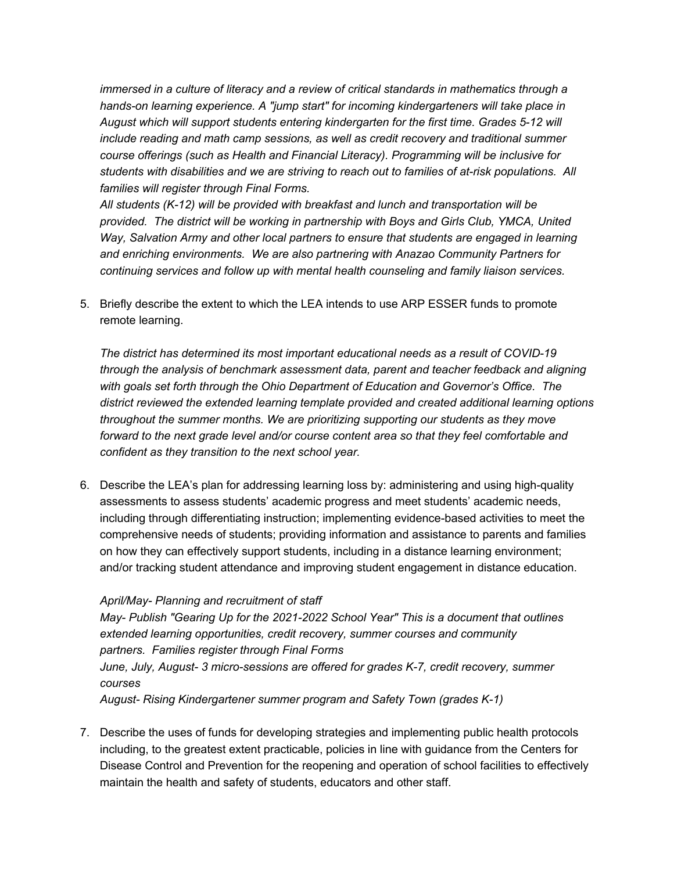*immersed in a culture of literacy and a review of critical standards in mathematics through a hands-on learning experience. A "jump start" for incoming kindergarteners will take place in August which will support students entering kindergarten for the first time. Grades 5-12 will include reading and math camp sessions, as well as credit recovery and traditional summer course offerings (such as Health and Financial Literacy). Programming will be inclusive for students with disabilities and we are striving to reach out to families of at-risk populations. All families will register through Final Forms.*

*All students (K-12) will be provided with breakfast and lunch and transportation will be provided. The district will be working in partnership with Boys and Girls Club, YMCA, United Way, Salvation Army and other local partners to ensure that students are engaged in learning and enriching environments. We are also partnering with Anazao Community Partners for continuing services and follow up with mental health counseling and family liaison services.*

5. Briefly describe the extent to which the LEA intends to use ARP ESSER funds to promote remote learning.

*The district has determined its most important educational needs as a result of COVID-19 through the analysis of benchmark assessment data, parent and teacher feedback and aligning with goals set forth through the Ohio Department of Education and Governor's Office. The district reviewed the extended learning template provided and created additional learning options throughout the summer months. We are prioritizing supporting our students as they move forward to the next grade level and/or course content area so that they feel comfortable and confident as they transition to the next school year.*

6. Describe the LEA's plan for addressing learning loss by: administering and using high-quality assessments to assess students' academic progress and meet students' academic needs, including through differentiating instruction; implementing evidence-based activities to meet the comprehensive needs of students; providing information and assistance to parents and families on how they can effectively support students, including in a distance learning environment; and/or tracking student attendance and improving student engagement in distance education.

*April/May- Planning and recruitment of staff May- Publish "Gearing Up for the 2021-2022 School Year" This is a document that outlines extended learning opportunities, credit recovery, summer courses and community partners. Families register through Final Forms June, July, August- 3 micro-sessions are offered for grades K-7, credit recovery, summer courses August- Rising Kindergartener summer program and Safety Town (grades K-1)*

7. Describe the uses of funds for developing strategies and implementing public health protocols including, to the greatest extent practicable, policies in line with guidance from the Centers for Disease Control and Prevention for the reopening and operation of school facilities to effectively maintain the health and safety of students, educators and other staff.